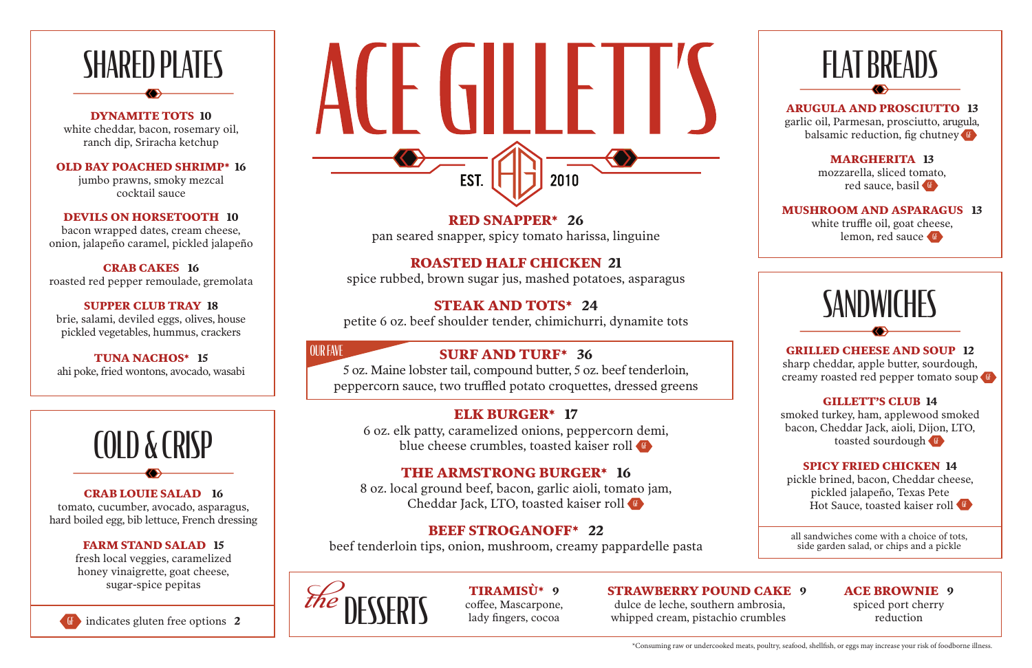



#### **DYNAMITE TOTS 10**

white cheddar, bacon, rosemary oil, ranch dip, Sriracha ketchup

**OLD BAY POACHED SHRIMP\* 16**

jumbo prawns, smoky mezcal cocktail sauce

**DEVILS ON HORSETOOTH 10**

bacon wrapped dates, cream cheese, onion, jalapeño caramel, pickled jalapeño garlic oil, Parmesan, prosciutto, arugula, balsamic reduction, fig chutney

**CRAB CAKES 16** roasted red pepper remoulade, gremolata mozzarella, sliced tomato, red sauce, basil

white truffle oil, goat cheese, lemon, red sauce

## **SANDWICHES**

**SUPPER CLUB TRAY 18** brie, salami, deviled eggs, olives, house pickled vegetables, hummus, crackers

> sharp cheddar, apple butter, sourdough, creamy roasted red pepper tomato soup

smoked turkey, ham, applewood smoked bacon, Cheddar Jack, aioli, Dijon, LTO, toasted sourdough

**TUNA NACHOS\* 15** ahi poke, fried wontons, avocado, wasabi

> pickle brined, bacon, Cheddar cheese, pickled jalapeño, Texas Pete Hot Sauce, toasted kaiser roll

all sandwiches come with a choice of tots, side garden salad, or chips and a pickle

#### **ARUGULA AND PROSCIUTTO 13**

#### **MARGHERITA 13**

#### **MUSHROOM AND ASPARAGUS 13**



#### **GRILLED CHEESE AND SOUP 12**

6 oz. elk patty, caramelized onions, peppercorn demi, blue cheese crumbles, toasted kaiser roll

#### **GILLETT'S CLUB 14**

8 oz. local ground beef, bacon, garlic aioli, tomato jam, Cheddar Jack, LTO, toasted kaiser roll

#### **SPICY FRIED CHICKEN 14**

**CRAB LOUIE SALAD 16** tomato, cucumber, avocado, asparagus, hard boiled egg, bib lettuce, French dressing

#### **FARM STAND SALAD 15**

fresh local veggies, caramelized honey vinaigrette, goat cheese, sugar-spice pepitas

## SHARED PLATES<br>
EXPARAMETE TOTS 10 EST. 2010

#### **ACE BROWNIE 9**

spiced port cherry reduction

#### **STRAWBERRY POUND CAKE 9**

 dulce de leche, southern ambrosia, whipped cream, pistachio crumbles

**TIRAMISÙ\* 9** coffee, Mascarpone,

**RED SNAPPER\* 26** 

pan seared snapper, spicy tomato harissa, linguine

#### **ROASTED HALF CHICKEN 21**

spice rubbed, brown sugar jus, mashed potatoes, asparagus

#### **STEAK AND TOTS\* 24**

petite 6 oz. beef shoulder tender, chimichurri, dynamite tots

#### **ELK BURGER\* 17**

#### **THE ARMSTRONG BURGER\* 16**

#### **BEEF STROGANOFF\* 22**

beef tenderloin tips, onion, mushroom, creamy pappardelle pasta

#### **SURF AND TURF\* 36**

5 oz. Maine lobster tail, compound butter, 5 oz. beef tenderloin, peppercorn sauce, two truffled potato croquettes, dressed greens

OUR FAVE

\*Consuming raw or undercooked meats, poultry, seafood, shellfish, or eggs may increase your risk of foodborne illness.